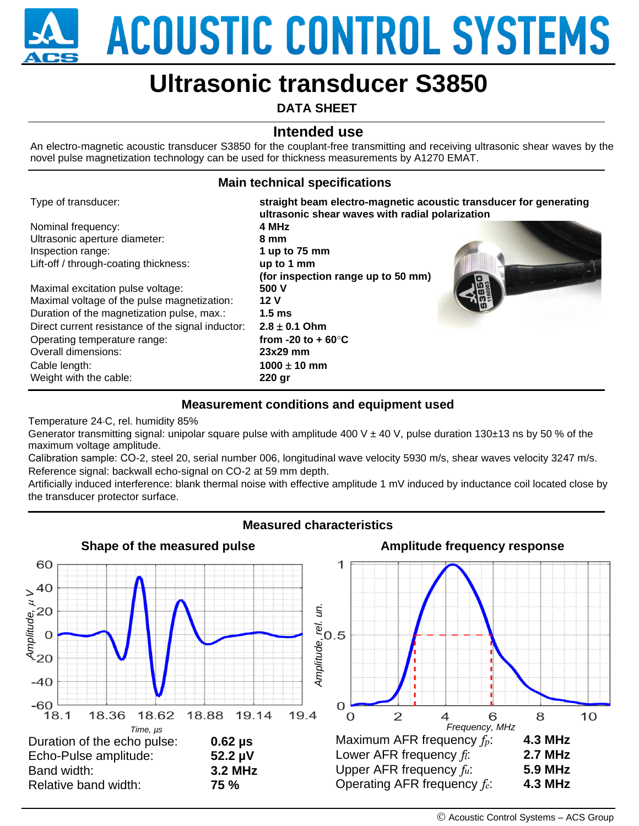**ACOUSTIC CONTROL SYSTEMS** 

# **Ultrasonic transducer S3850**

**DATA SHEET**

## **Intended use**

An electro-magnetic acoustic transducer S3850 for the couplant-free transmitting and receiving ultrasonic shear waves by the novel pulse magnetization technology can be used for thickness measurements by A1270 EMAT.

## **Main technical specifications**

| Type of transducer:                               | straight beam electro-magnetic acoustic transducer for generating<br>ultrasonic shear waves with radial polarization |  |
|---------------------------------------------------|----------------------------------------------------------------------------------------------------------------------|--|
| Nominal frequency:                                | 4 MHz                                                                                                                |  |
| Ultrasonic aperture diameter:                     | 8 mm                                                                                                                 |  |
| Inspection range:                                 | 1 up to $75 \text{ mm}$                                                                                              |  |
| Lift-off / through-coating thickness:             | up to 1 mm                                                                                                           |  |
|                                                   | (for inspection range up to 50 mm)                                                                                   |  |
| Maximal excitation pulse voltage:                 | 500 V                                                                                                                |  |
| Maximal voltage of the pulse magnetization:       | 12 <sub>V</sub>                                                                                                      |  |
| Duration of the magnetization pulse, max.:        | 1.5 <sub>ms</sub>                                                                                                    |  |
| Direct current resistance of the signal inductor: | $2.8 \pm 0.1$ Ohm                                                                                                    |  |
| Operating temperature range:                      | from -20 to + $60^{\circ}$ C                                                                                         |  |
| Overall dimensions:                               | $23x29$ mm                                                                                                           |  |
| Cable length:                                     | $1000 \pm 10$ mm                                                                                                     |  |
| Weight with the cable:                            | $220$ gr                                                                                                             |  |

#### **Measurement conditions and equipment used**

Temperature 24*◦*C, rel. humidity 85%

Generator transmitting signal: unipolar square pulse with amplitude 400 V  $\pm$  40 V, pulse duration 130 $\pm$ 13 ns by 50 % of the maximum voltage amplitude.

Calibration sample: СО-2, steel 20, serial number 006, longitudinal wave velocity 5930 m/s, shear waves velocity 3247 m/s. Reference signal: backwall echo-signal on CO-2 at 59 mm depth.

Artificially induced interference: blank thermal noise with effective amplitude 1 mV induced by inductance coil located close by the transducer protector surface.